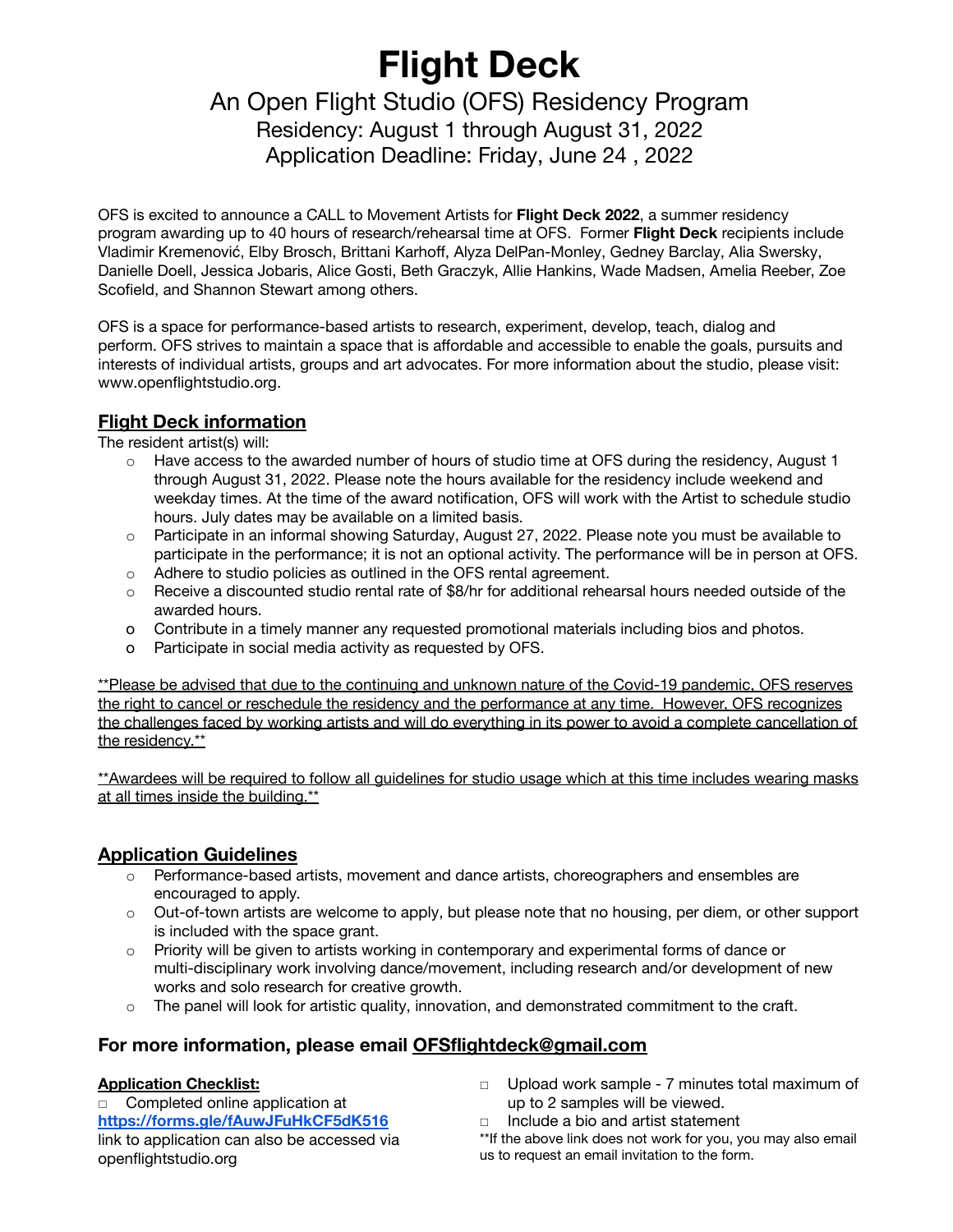# **Flight Deck**

# An Open Flight Studio (OFS) Residency Program Residency: August 1 through August 31, 2022

Application Deadline: Friday, June 24 , 2022

OFS is excited to announce a CALL to Movement Artists for **Flight Deck 2022**, a summer residency program awarding up to 40 hours of research/rehearsal time at OFS. Former **Flight Deck** recipients include Vladimir Kremenović, Elby Brosch, Brittani Karhoff, Alyza DelPan-Monley, Gedney Barclay, Alia Swersky, Danielle Doell, Jessica Jobaris, Alice Gosti, Beth Graczyk, Allie Hankins, Wade Madsen, Amelia Reeber, Zoe Scofield, and Shannon Stewart among others.

OFS is a space for performance-based artists to research, experiment, develop, teach, dialog and perform. OFS strives to maintain a space that is affordable and accessible to enable the goals, pursuits and interests of individual artists, groups and art advocates. For more information about the studio, please visit: www.openflightstudio.org.

## **Flight Deck information**

The resident artist(s) will:

- o Have access to the awarded number of hours of studio time at OFS during the residency, August 1 through August 31, 2022. Please note the hours available for the residency include weekend and weekday times. At the time of the award notification, OFS will work with the Artist to schedule studio hours. July dates may be available on a limited basis.
- o Participate in an informal showing Saturday, August 27, 2022. Please note you must be available to participate in the performance; it is not an optional activity. The performance will be in person at OFS.
- o Adhere to studio policies as outlined in the OFS rental agreement.
- $\circ$  Receive a discounted studio rental rate of \$8/hr for additional rehearsal hours needed outside of the awarded hours.
- o Contribute in a timely manner any requested promotional materials including bios and photos.
- o Participate in social media activity as requested by OFS.

\*\*Please be advised that due to the continuing and unknown nature of the Covid-19 pandemic, OFS reserves the right to cancel or reschedule the residency and the performance at any time. However, OFS recognizes the challenges faced by working artists and will do everything in its power to avoid a complete cancellation of the residency.\*\*

\*\*Awardees will be required to follow all guidelines for studio usage which at this time includes wearing masks at all times inside the building.\*\*

#### **Application Guidelines**

- o Performance-based artists, movement and dance artists, choreographers and ensembles are encouraged to apply.
- o Out-of-town artists are welcome to apply, but please note that no housing, per diem, or other support is included with the space grant.
- o Priority will be given to artists working in contemporary and experimental forms of dance or multi-disciplinary work involving dance/movement, including research and/or development of new works and solo research for creative growth.
- $\circ$  The panel will look for artistic quality, innovation, and demonstrated commitment to the craft.

#### **For more information, please email OFSflightdeck@gmail.com**

#### **Application Checklist:**

□ Completed online application at **<https://forms.gle/fAuwJFuHkCF5dK516>** link to application can also be accessed via openflightstudio.org

- □ Upload work sample 7 minutes total maximum of up to 2 samples will be viewed.
- □ Include a bio and artist statement
- \*\*If the above link does not work for you, you may also email us to request an email invitation to the form.